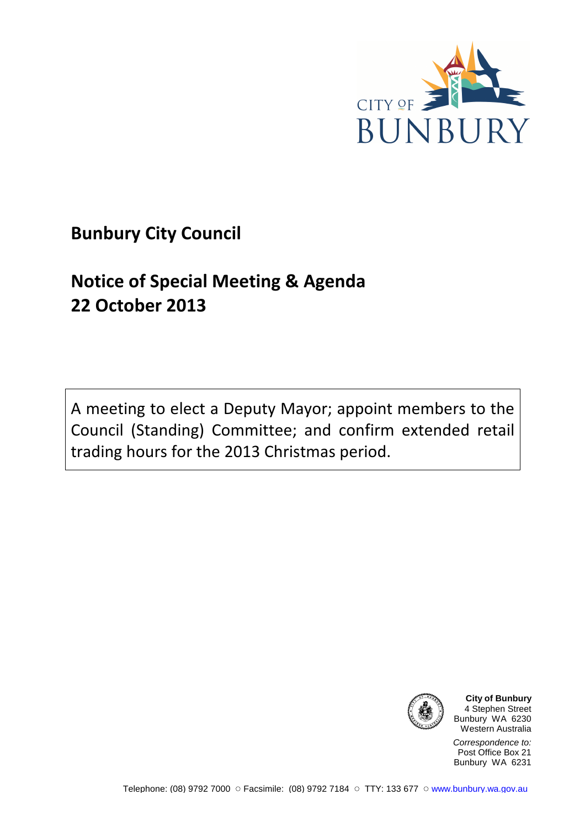

## **Bunbury City Council**

# **Notice of Special Meeting & Agenda 22 October 2013**

A meeting to elect a Deputy Mayor; appoint members to the Council (Standing) Committee; and confirm extended retail trading hours for the 2013 Christmas period.



**City of Bunbury** 4 Stephen Street Bunbury WA 6230 Western Australia

Correspondence to: Post Office Box 21 Bunbury WA 6231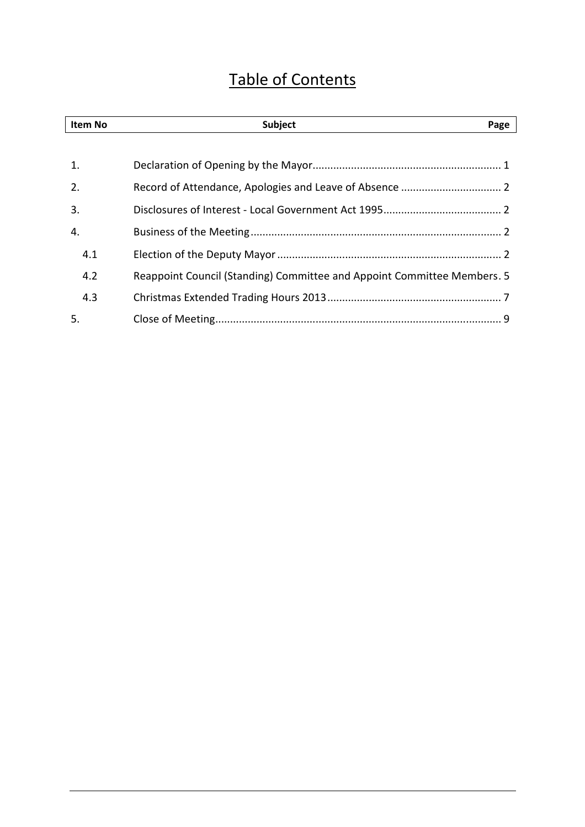## Table of Contents

| Item No | Subject<br>Page                                                         |
|---------|-------------------------------------------------------------------------|
|         |                                                                         |
| 1.      |                                                                         |
| 2.      |                                                                         |
| 3.      |                                                                         |
| 4.      |                                                                         |
| 4.1     |                                                                         |
| 4.2     | Reappoint Council (Standing) Committee and Appoint Committee Members. 5 |
| 4.3     |                                                                         |
| 5.      |                                                                         |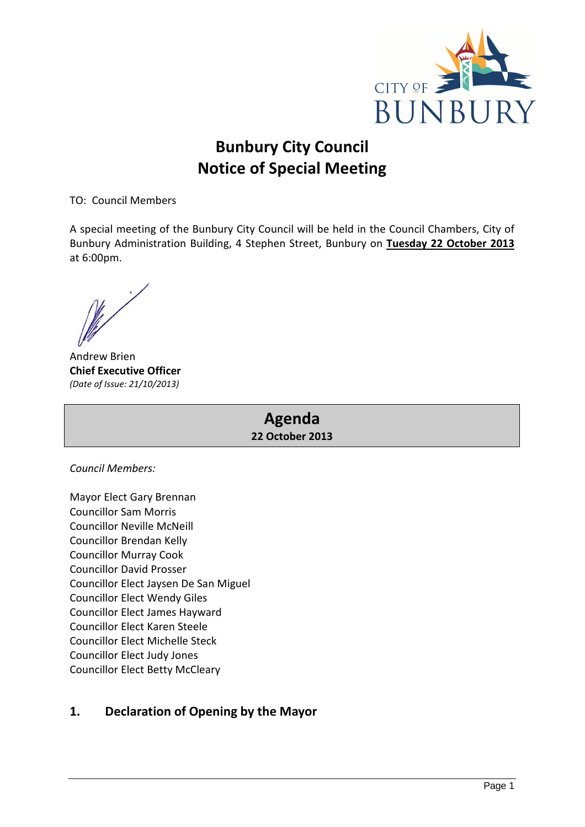

## **Bunbury City Council Notice of Special Meeting**

TO: Council Members

A special meeting of the Bunbury City Council will be held in the Council Chambers, City of Bunbury Administration Building, 4 Stephen Street, Bunbury on **Tuesday 22 October 2013** at 6:00pm.

Andrew Brien **Chief Executive Officer**  *(Date of Issue: 21/10/2013)* 

## **Agenda 22 October 2013**

*Council Members:* 

Mayor Elect Gary Brennan Councillor Sam Morris Councillor Neville McNeill Councillor Brendan Kelly Councillor Murray Cook Councillor David Prosser Councillor Elect Jaysen De San Miguel Councillor Elect Wendy Giles Councillor Elect James Hayward Councillor Elect Karen Steele Councillor Elect Michelle Steck Councillor Elect Judy Jones Councillor Elect Betty McCleary

## **1. Declaration of Opening by the Mayor**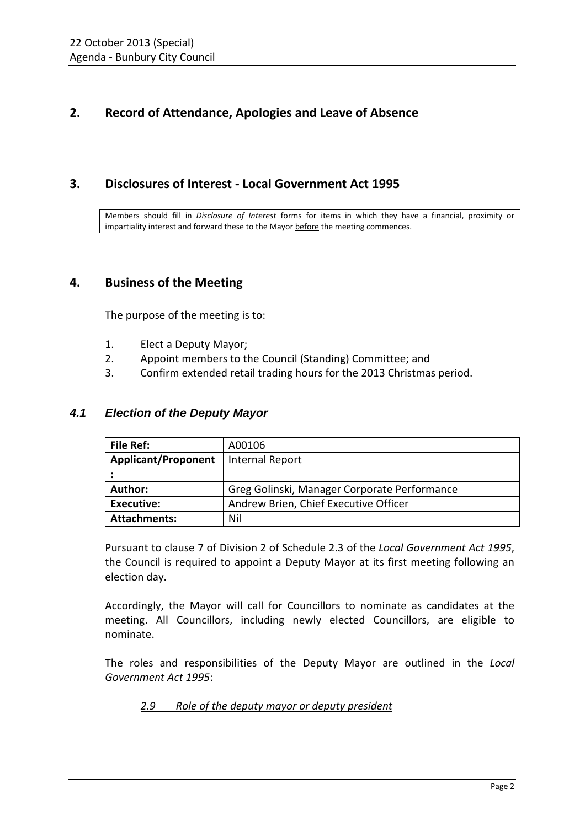## **2. Record of Attendance, Apologies and Leave of Absence**

## **3. Disclosures of Interest - Local Government Act 1995**

Members should fill in *Disclosure of Interest* forms for items in which they have a financial, proximity or impartiality interest and forward these to the Mayor before the meeting commences.

## **4. Business of the Meeting**

The purpose of the meeting is to:

- 1. Elect a Deputy Mayor;
- 2. Appoint members to the Council (Standing) Committee; and
- 3. Confirm extended retail trading hours for the 2013 Christmas period.

### **4.1 Election of the Deputy Mayor**

| <b>File Ref:</b>           | A00106                                       |
|----------------------------|----------------------------------------------|
| <b>Applicant/Proponent</b> | Internal Report                              |
|                            |                                              |
| Author:                    | Greg Golinski, Manager Corporate Performance |
| <b>Executive:</b>          | Andrew Brien, Chief Executive Officer        |
| <b>Attachments:</b>        | Nil                                          |

Pursuant to clause 7 of Division 2 of Schedule 2.3 of the *Local Government Act 1995*, the Council is required to appoint a Deputy Mayor at its first meeting following an election day.

Accordingly, the Mayor will call for Councillors to nominate as candidates at the meeting. All Councillors, including newly elected Councillors, are eligible to nominate.

The roles and responsibilities of the Deputy Mayor are outlined in the *Local Government Act 1995*:

*2.9 Role of the deputy mayor or deputy president*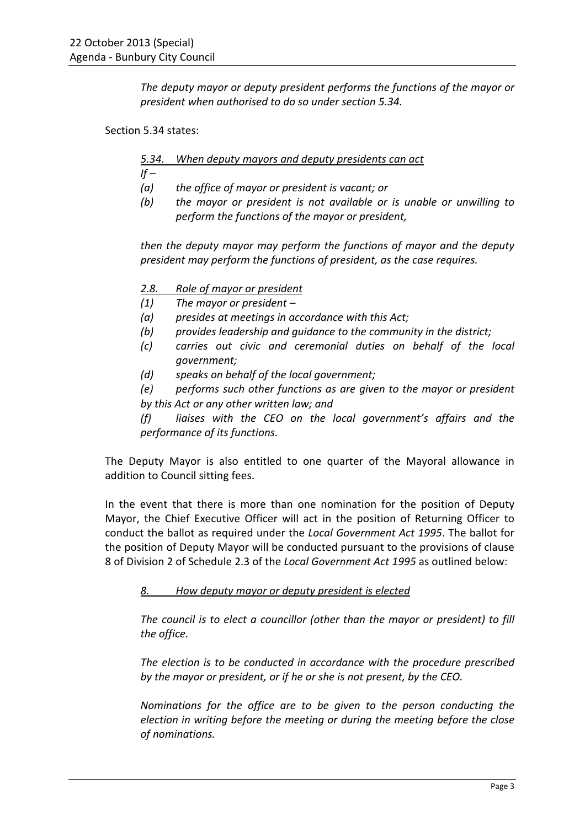*The deputy mayor or deputy president performs the functions of the mayor or president when authorised to do so under section 5.34.* 

Section 5.34 states:

*5.34. When deputy mayors and deputy presidents can act* 

 $If -$ 

- *(a) the office of mayor or president is vacant; or*
- *(b) the mayor or president is not available or is unable or unwilling to perform the functions of the mayor or president,*

*then the deputy mayor may perform the functions of mayor and the deputy president may perform the functions of president, as the case requires.* 

- *2.8. Role of mayor or president*
- *(1) The mayor or president*
- *(a) presides at meetings in accordance with this Act;*
- *(b) provides leadership and guidance to the community in the district;*
- *(c) carries out civic and ceremonial duties on behalf of the local government;*
- *(d) speaks on behalf of the local government;*
- *(e) performs such other functions as are given to the mayor or president by this Act or any other written law; and*

*(f) liaises with the CEO on the local government's affairs and the performance of its functions.* 

The Deputy Mayor is also entitled to one quarter of the Mayoral allowance in addition to Council sitting fees.

In the event that there is more than one nomination for the position of Deputy Mayor, the Chief Executive Officer will act in the position of Returning Officer to conduct the ballot as required under the *Local Government Act 1995*. The ballot for the position of Deputy Mayor will be conducted pursuant to the provisions of clause 8 of Division 2 of Schedule 2.3 of the *Local Government Act 1995* as outlined below:

### *8. How deputy mayor or deputy president is elected*

*The council is to elect a councillor (other than the mayor or president) to fill the office.* 

*The election is to be conducted in accordance with the procedure prescribed by the mayor or president, or if he or she is not present, by the CEO.* 

*Nominations for the office are to be given to the person conducting the election in writing before the meeting or during the meeting before the close of nominations.*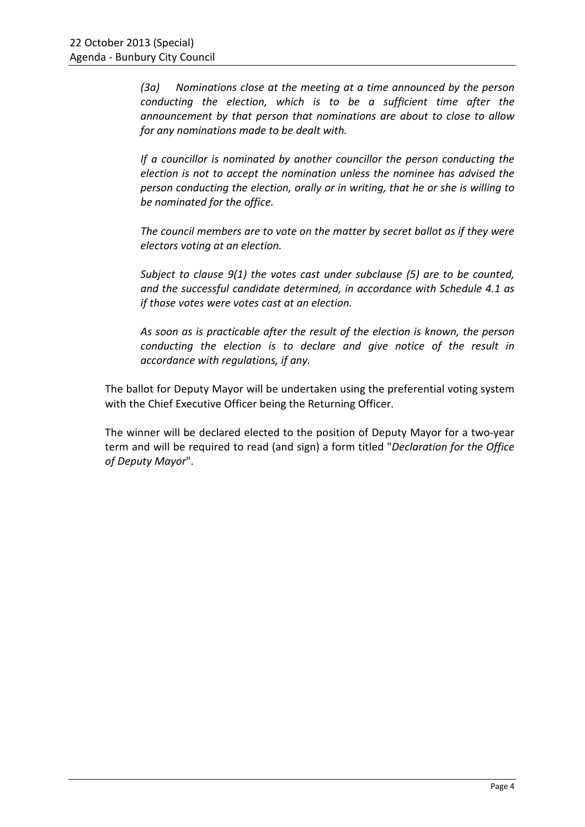*(3a) Nominations close at the meeting at a time announced by the person conducting the election, which is to be a sufficient time after the announcement by that person that nominations are about to close to allow for any nominations made to be dealt with.* 

*If a councillor is nominated by another councillor the person conducting the election is not to accept the nomination unless the nominee has advised the person conducting the election, orally or in writing, that he or she is willing to be nominated for the office.* 

*The council members are to vote on the matter by secret ballot as if they were electors voting at an election.* 

*Subject to clause 9(1) the votes cast under subclause (5) are to be counted, and the successful candidate determined, in accordance with Schedule 4.1 as if those votes were votes cast at an election.* 

*As soon as is practicable after the result of the election is known, the person conducting the election is to declare and give notice of the result in accordance with regulations, if any.* 

The ballot for Deputy Mayor will be undertaken using the preferential voting system with the Chief Executive Officer being the Returning Officer.

The winner will be declared elected to the position of Deputy Mayor for a two-year term and will be required to read (and sign) a form titled "*Declaration for the Office of Deputy Mayor*".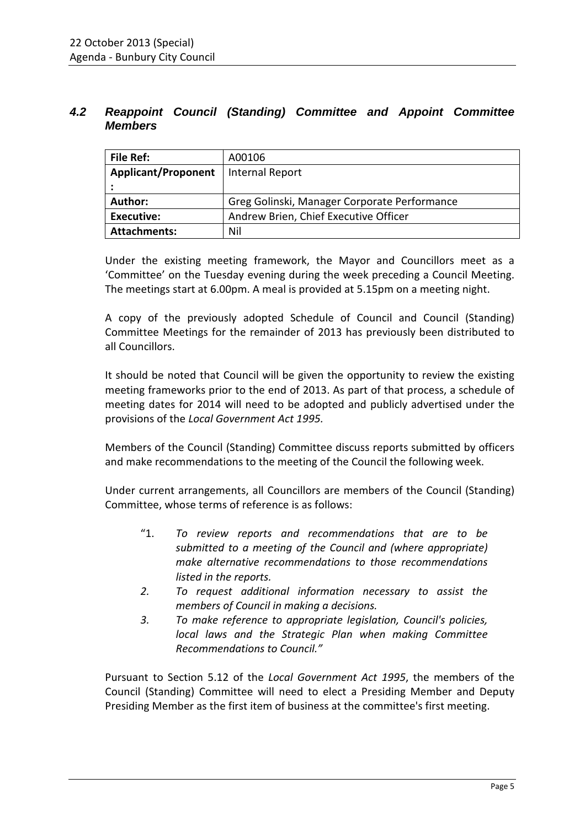## **4.2 Reappoint Council (Standing) Committee and Appoint Committee Members**

| File Ref:                  | A00106                                       |
|----------------------------|----------------------------------------------|
| <b>Applicant/Proponent</b> | <b>Internal Report</b>                       |
|                            |                                              |
| Author:                    | Greg Golinski, Manager Corporate Performance |
| <b>Executive:</b>          | Andrew Brien, Chief Executive Officer        |
| <b>Attachments:</b>        | Nil                                          |

Under the existing meeting framework, the Mayor and Councillors meet as a 'Committee' on the Tuesday evening during the week preceding a Council Meeting. The meetings start at 6.00pm. A meal is provided at 5.15pm on a meeting night.

A copy of the previously adopted Schedule of Council and Council (Standing) Committee Meetings for the remainder of 2013 has previously been distributed to all Councillors.

It should be noted that Council will be given the opportunity to review the existing meeting frameworks prior to the end of 2013. As part of that process, a schedule of meeting dates for 2014 will need to be adopted and publicly advertised under the provisions of the *Local Government Act 1995.* 

Members of the Council (Standing) Committee discuss reports submitted by officers and make recommendations to the meeting of the Council the following week.

Under current arrangements, all Councillors are members of the Council (Standing) Committee, whose terms of reference is as follows:

- "1. *To review reports and recommendations that are to be submitted to a meeting of the Council and (where appropriate) make alternative recommendations to those recommendations listed in the reports.*
- *2. To request additional information necessary to assist the members of Council in making a decisions.*
- *3. To make reference to appropriate legislation, Council's policies, local laws and the Strategic Plan when making Committee Recommendations to Council."*

Pursuant to Section 5.12 of the *Local Government Act 1995*, the members of the Council (Standing) Committee will need to elect a Presiding Member and Deputy Presiding Member as the first item of business at the committee's first meeting.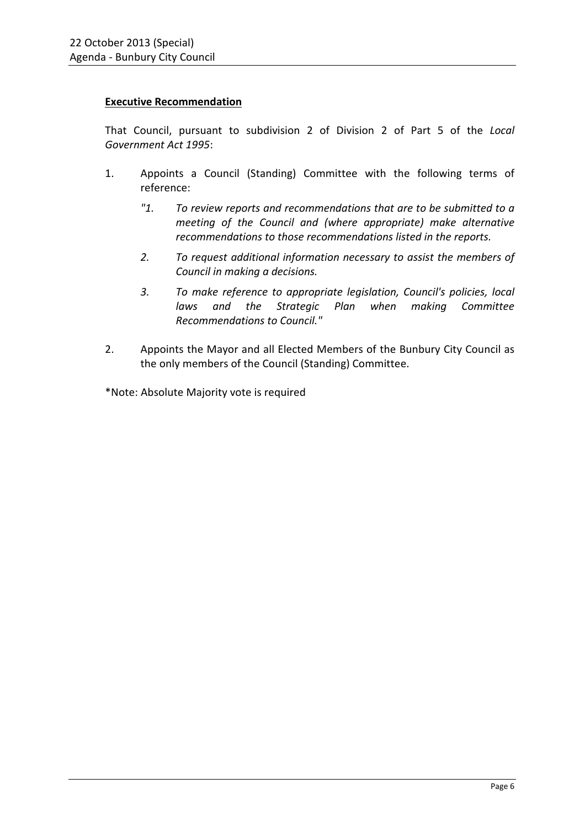#### **Executive Recommendation**

That Council, pursuant to subdivision 2 of Division 2 of Part 5 of the *Local Government Act 1995*:

- 1. Appoints a Council (Standing) Committee with the following terms of reference:
	- *"1. To review reports and recommendations that are to be submitted to a meeting of the Council and (where appropriate) make alternative recommendations to those recommendations listed in the reports.*
	- *2. To request additional information necessary to assist the members of Council in making a decisions.*
	- *3. To make reference to appropriate legislation, Council's policies, local laws and the Strategic Plan when making Committee Recommendations to Council."*
- 2. Appoints the Mayor and all Elected Members of the Bunbury City Council as the only members of the Council (Standing) Committee.

\*Note: Absolute Majority vote is required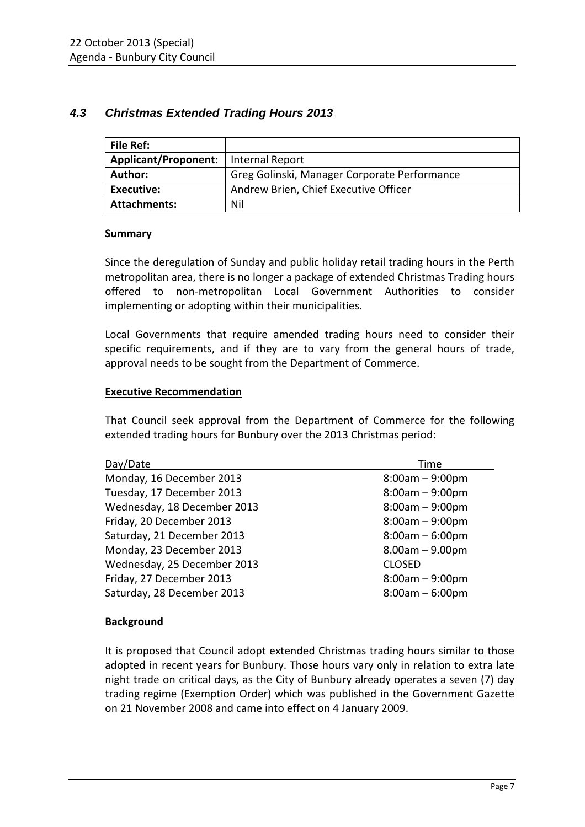## **4.3 Christmas Extended Trading Hours 2013**

| <b>File Ref:</b>            |                                              |
|-----------------------------|----------------------------------------------|
| <b>Applicant/Proponent:</b> | Internal Report                              |
| Author:                     | Greg Golinski, Manager Corporate Performance |
| Executive:                  | Andrew Brien, Chief Executive Officer        |
| <b>Attachments:</b>         | Nil                                          |

#### **Summary**

Since the deregulation of Sunday and public holiday retail trading hours in the Perth metropolitan area, there is no longer a package of extended Christmas Trading hours offered to non-metropolitan Local Government Authorities to consider implementing or adopting within their municipalities.

Local Governments that require amended trading hours need to consider their specific requirements, and if they are to vary from the general hours of trade, approval needs to be sought from the Department of Commerce.

### **Executive Recommendation**

That Council seek approval from the Department of Commerce for the following extended trading hours for Bunbury over the 2013 Christmas period:

| Day/Date                    | Time              |
|-----------------------------|-------------------|
| Monday, 16 December 2013    | $8:00am - 9:00pm$ |
| Tuesday, 17 December 2013   | $8:00am - 9:00pm$ |
| Wednesday, 18 December 2013 | $8:00am - 9:00pm$ |
| Friday, 20 December 2013    | $8:00am - 9:00pm$ |
| Saturday, 21 December 2013  | $8:00am - 6:00pm$ |
| Monday, 23 December 2013    | $8.00am - 9.00pm$ |
| Wednesday, 25 December 2013 | <b>CLOSED</b>     |
| Friday, 27 December 2013    | $8:00am - 9:00pm$ |
| Saturday, 28 December 2013  | $8:00am - 6:00pm$ |

### **Background**

It is proposed that Council adopt extended Christmas trading hours similar to those adopted in recent years for Bunbury. Those hours vary only in relation to extra late night trade on critical days, as the City of Bunbury already operates a seven (7) day trading regime (Exemption Order) which was published in the Government Gazette on 21 November 2008 and came into effect on 4 January 2009.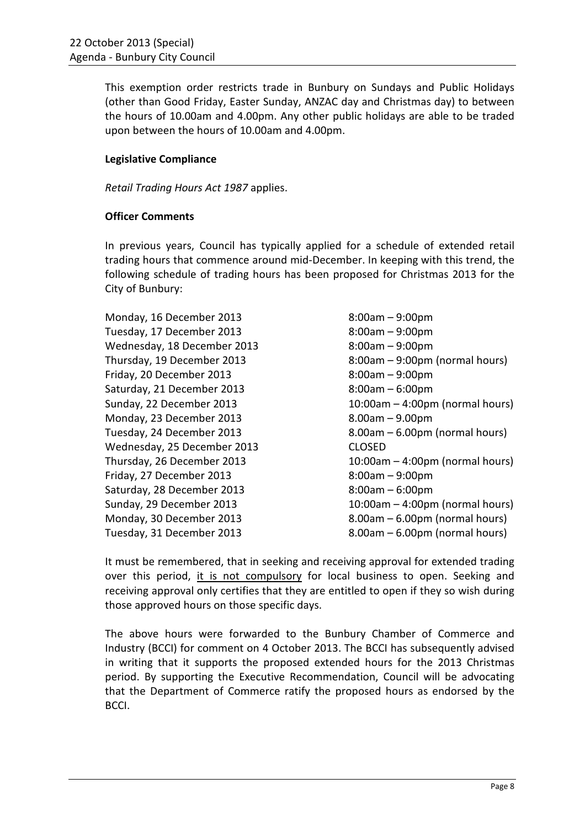This exemption order restricts trade in Bunbury on Sundays and Public Holidays (other than Good Friday, Easter Sunday, ANZAC day and Christmas day) to between the hours of 10.00am and 4.00pm. Any other public holidays are able to be traded upon between the hours of 10.00am and 4.00pm.

#### **Legislative Compliance**

*Retail Trading Hours Act 1987* applies.

#### **Officer Comments**

In previous years, Council has typically applied for a schedule of extended retail trading hours that commence around mid-December. In keeping with this trend, the following schedule of trading hours has been proposed for Christmas 2013 for the City of Bunbury:

Monday, 16 December 2013 8:00am – 9:00pm Tuesday, 17 December 2013 8:00am – 9:00pm Wednesday, 18 December 2013 8:00am – 9:00pm Friday, 20 December 2013 8:00am – 9:00pm Saturday, 21 December 2013 8:00am – 6:00pm Monday, 23 December 2013 8.00am – 9.00pm Wednesday, 25 December 2013 CLOSED Friday, 27 December 2013 8:00am – 9:00pm Saturday, 28 December 2013 8:00am – 6:00pm

Thursday, 19 December 2013 8:00am – 9:00pm (normal hours) Sunday, 22 December 2013 10:00am – 4:00pm (normal hours) Tuesday, 24 December 2013 8.00am – 6.00pm (normal hours) Thursday, 26 December 2013 10:00am – 4:00pm (normal hours) Sunday, 29 December 2013 10:00am – 4:00pm (normal hours) Monday, 30 December 2013 8.00am – 6.00pm (normal hours) Tuesday, 31 December 2013 8.00am – 6.00pm (normal hours)

It must be remembered, that in seeking and receiving approval for extended trading over this period, it is not compulsory for local business to open. Seeking and receiving approval only certifies that they are entitled to open if they so wish during those approved hours on those specific days.

The above hours were forwarded to the Bunbury Chamber of Commerce and Industry (BCCI) for comment on 4 October 2013. The BCCI has subsequently advised in writing that it supports the proposed extended hours for the 2013 Christmas period. By supporting the Executive Recommendation, Council will be advocating that the Department of Commerce ratify the proposed hours as endorsed by the BCCI.